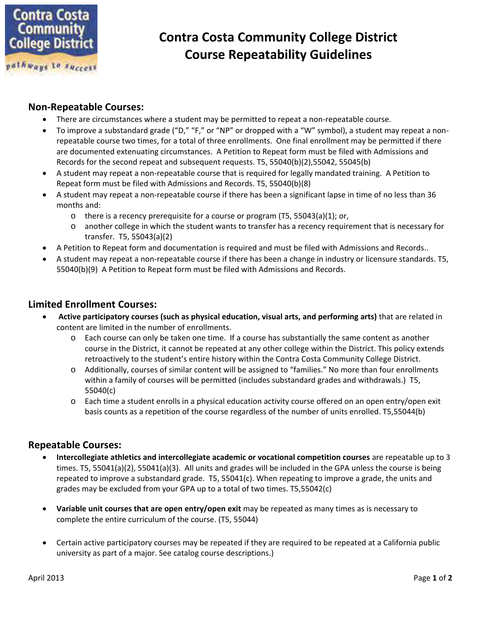

# **Contra Costa Community College District Course Repeatability Guidelines**

### **Non-Repeatable Courses:**

- There are circumstances where a student may be permitted to repeat a non-repeatable course.
- To improve a substandard grade ("D," "F," or "NP" or dropped with a "W" symbol), a student may repeat a nonrepeatable course two times, for a total of three enrollments. One final enrollment may be permitted if there are documented extenuating circumstances. A Petition to Repeat form must be filed with Admissions and Records for the second repeat and subsequent requests. T5, 55040(b)(2),55042, 55045(b)
- A student may repeat a non-repeatable course that is required for legally mandated training. A Petition to Repeat form must be filed with Admissions and Records. T5, 55040(b)(8)
- A student may repeat a non-repeatable course if there has been a significant lapse in time of no less than 36 months and:
	- o there is a recency prerequisite for a course or program (T5, 55043(a)(1); or,
	- o another college in which the student wants to transfer has a recency requirement that is necessary for transfer. T5, 55043(a)(2)
- A Petition to Repeat form and documentation is required and must be filed with Admissions and Records..
- A student may repeat a non-repeatable course if there has been a change in industry or licensure standards. T5, 55040(b)(9) A Petition to Repeat form must be filed with Admissions and Records.

#### **Limited Enrollment Courses:**

- **Active participatory courses (such as physical education, visual arts, and performing arts)** that are related in content are limited in the number of enrollments.
	- o Each course can only be taken one time. If a course has substantially the same content as another course in the District, it cannot be repeated at any other college within the District. This policy extends retroactively to the student's entire history within the Contra Costa Community College District.
	- o Additionally, courses of similar content will be assigned to "families." No more than four enrollments within a family of courses will be permitted (includes substandard grades and withdrawals.) T5, 55040(c)
	- o Each time a student enrolls in a physical education activity course offered on an open entry/open exit basis counts as a repetition of the course regardless of the number of units enrolled. T5,55044(b)

#### **Repeatable Courses:**

- **Intercollegiate athletics and intercollegiate academic or vocational competition courses** are repeatable up to 3 times. T5, 55041(a)(2), 55041(a)(3). All units and grades will be included in the GPA unless the course is being repeated to improve a substandard grade. T5, 55041(c). When repeating to improve a grade, the units and grades may be excluded from your GPA up to a total of two times. T5,55042(c)
- **Variable unit courses that are open entry/open exit** may be repeated as many times as is necessary to complete the entire curriculum of the course. (T5, 55044)
- Certain active participatory courses may be repeated if they are required to be repeated at a California public university as part of a major. See catalog course descriptions.)